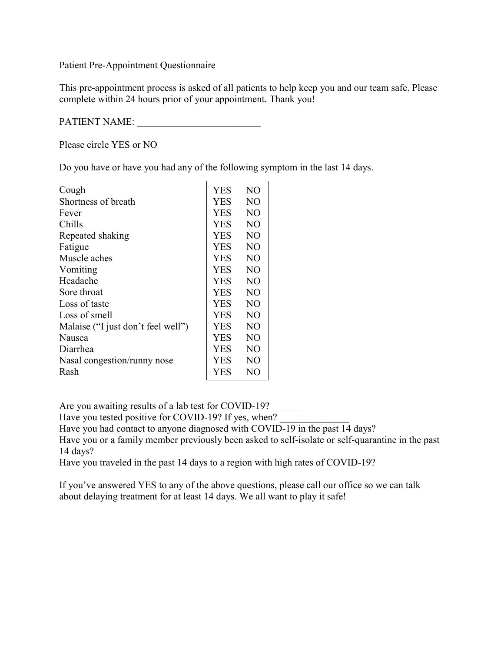Patient Pre-Appointment Questionnaire

This pre-appointment process is asked of all patients to help keep you and our team safe. Please complete within 24 hours prior of your appointment. Thank you!

PATIENT NAME:

Please circle YES or NO

Do you have or have you had any of the following symptom in the last 14 days.

| Cough                              | YES        | N <sub>O</sub>  |
|------------------------------------|------------|-----------------|
| Shortness of breath                | <b>YES</b> | NO.             |
| Fever                              | YES        | N <sub>O</sub>  |
| Chills                             | YES        | NO.             |
| Repeated shaking                   | <b>YES</b> | N <sub>O</sub>  |
| Fatigue                            | <b>YES</b> | N <sub>O</sub>  |
| Muscle aches                       | YES        | N <sub>O</sub>  |
| Vomiting                           | YES        | N <sub>O</sub>  |
| Headache                           | <b>YES</b> | NO.             |
| Sore throat                        | <b>YES</b> | N <sub>O</sub>  |
| Loss of taste                      | <b>YES</b> | N <sub>O</sub>  |
| Loss of smell                      | YES        | NO.             |
| Malaise ("I just don't feel well") | <b>YES</b> | N <sub>O</sub>  |
| Nausea                             | YES        | NO.             |
| Diarrhea                           | <b>YES</b> | NO <sub>1</sub> |
| Nasal congestion/runny nose        | <b>YES</b> | NO.             |
| Rash                               | YES        | NO              |

Are you awaiting results of a lab test for COVID-19?

Have you tested positive for COVID-19? If yes, when?

Have you had contact to anyone diagnosed with COVID-19 in the past 14 days?

Have you or a family member previously been asked to self-isolate or self-quarantine in the past 14 days?

Have you traveled in the past 14 days to a region with high rates of COVID-19?

If you've answered YES to any of the above questions, please call our office so we can talk about delaying treatment for at least 14 days. We all want to play it safe!